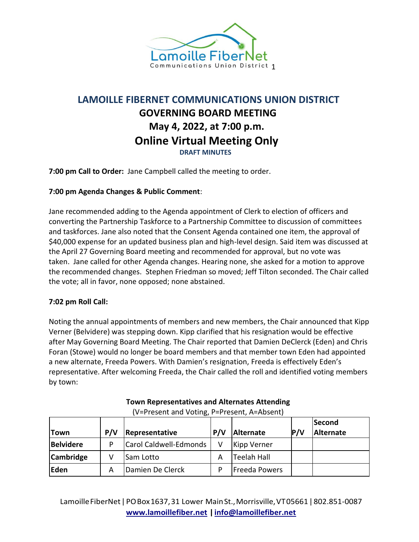

## **LAMOILLE FIBERNET COMMUNICATIONS UNION DISTRICT GOVERNING BOARD MEETING May 4, 2022, at 7:00 p.m. Online Virtual Meeting Only DRAFT MINUTES**

**7:00 pm Call to Order:** Jane Campbell called the meeting to order.

## **7:00 pm Agenda Changes & Public Comment**:

Jane recommended adding to the Agenda appointment of Clerk to election of officers and converting the Partnership Taskforce to a Partnership Committee to discussion of committees and taskforces. Jane also noted that the Consent Agenda contained one item, the approval of \$40,000 expense for an updated business plan and high-level design. Said item was discussed at the April 27 Governing Board meeting and recommended for approval, but no vote was taken. Jane called for other Agenda changes. Hearing none, she asked for a motion to approve the recommended changes. Stephen Friedman so moved; Jeff Tilton seconded. The Chair called the vote; all in favor, none opposed; none abstained.

## **7:02 pm Roll Call:**

Noting the annual appointments of members and new members, the Chair announced that Kipp Verner (Belvidere) was stepping down. Kipp clarified that his resignation would be effective after May Governing Board Meeting. The Chair reported that Damien DeClerck (Eden) and Chris Foran (Stowe) would no longer be board members and that member town Eden had appointed a new alternate, Freeda Powers. With Damien's resignation, Freeda is effectively Eden's representative. After welcoming Freeda, the Chair called the roll and identified voting members by town:

| <b>Town</b>      | P/V | Representative         | P/V | Alternate     | P/V | Second<br><b>Alternate</b> |
|------------------|-----|------------------------|-----|---------------|-----|----------------------------|
| <b>Belvidere</b> | D   | Carol Caldwell-Edmonds |     | Kipp Verner   |     |                            |
| Cambridge        |     | <b>Sam Lotto</b>       | А   | Teelah Hall   |     |                            |
| Eden             | А   | Damien De Clerck       | D   | Freeda Powers |     |                            |

**Town Representatives and Alternates Attending** (V=Present and Voting, P=Present, A=Absent)

LamoilleFiberNet|POBox1637,31 Lower MainSt.,Morrisville,VT05661|802.851-0087 **[www.lamoillefiber.net](http://www.lamoillefiber.net/) [|info@lamoillefiber.net](mailto:info@lamoillefiber.net)**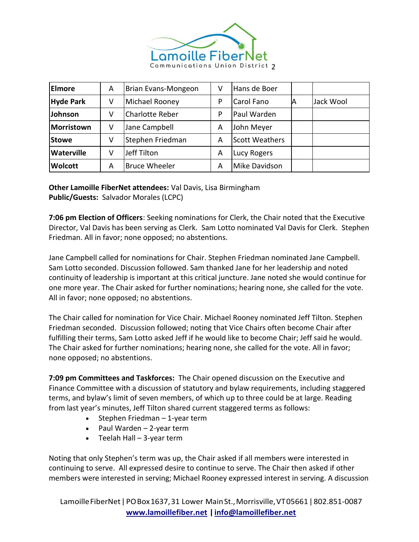

| <b>Elmore</b>     | A | Brian Evans-Mongeon    | V | Hans de Boer          |    |           |
|-------------------|---|------------------------|---|-----------------------|----|-----------|
| <b>Hyde Park</b>  | v | Michael Rooney         | P | Carol Fano            | ΙA | Jack Wool |
| Johnson           | v | <b>Charlotte Reber</b> | P | Paul Warden           |    |           |
| Morristown        | v | Jane Campbell          | A | John Meyer            |    |           |
| <b>Stowe</b>      | v | Stephen Friedman       | А | <b>Scott Weathers</b> |    |           |
| <b>Waterville</b> | v | Jeff Tilton            | Α | Lucy Rogers           |    |           |
| <b>Wolcott</b>    | А | <b>Bruce Wheeler</b>   | А | Mike Davidson         |    |           |

**Other Lamoille FiberNet attendees:** Val Davis, Lisa Birmingham **Public/Guests:** Salvador Morales (LCPC)

**7:06 pm Election of Officers**: Seeking nominations for Clerk, the Chair noted that the Executive Director, Val Davis has been serving as Clerk. Sam Lotto nominated Val Davis for Clerk. Stephen Friedman. All in favor; none opposed; no abstentions.

Jane Campbell called for nominations for Chair. Stephen Friedman nominated Jane Campbell. Sam Lotto seconded. Discussion followed. Sam thanked Jane for her leadership and noted continuity of leadership is important at this critical juncture. Jane noted she would continue for one more year. The Chair asked for further nominations; hearing none, she called for the vote. All in favor; none opposed; no abstentions.

The Chair called for nomination for Vice Chair. Michael Rooney nominated Jeff Tilton. Stephen Friedman seconded. Discussion followed; noting that Vice Chairs often become Chair after fulfilling their terms, Sam Lotto asked Jeff if he would like to become Chair; Jeff said he would. The Chair asked for further nominations; hearing none, she called for the vote. All in favor; none opposed; no abstentions.

**7:09 pm Committees and Taskforces:** The Chair opened discussion on the Executive and Finance Committee with a discussion of statutory and bylaw requirements, including staggered terms, and bylaw's limit of seven members, of which up to three could be at large. Reading from last year's minutes, Jeff Tilton shared current staggered terms as follows:

- Stephen Friedman 1-year term
- Paul Warden 2-year term
- Teelah Hall 3-year term

Noting that only Stephen's term was up, the Chair asked if all members were interested in continuing to serve. All expressed desire to continue to serve. The Chair then asked if other members were interested in serving; Michael Rooney expressed interest in serving. A discussion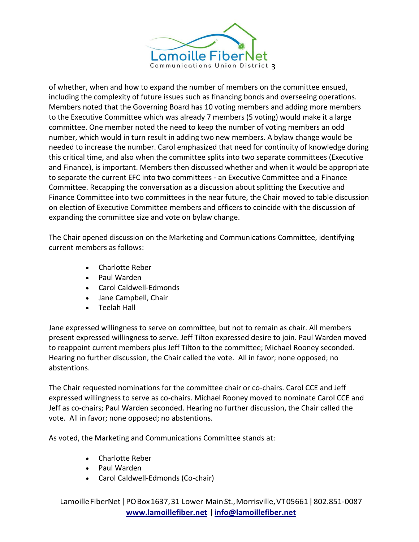

of whether, when and how to expand the number of members on the committee ensued, including the complexity of future issues such as financing bonds and overseeing operations. Members noted that the Governing Board has 10 voting members and adding more members to the Executive Committee which was already 7 members (5 voting) would make it a large committee. One member noted the need to keep the number of voting members an odd number, which would in turn result in adding two new members. A bylaw change would be needed to increase the number. Carol emphasized that need for continuity of knowledge during this critical time, and also when the committee splits into two separate committees (Executive and Finance), is important. Members then discussed whether and when it would be appropriate to separate the current EFC into two committees - an Executive Committee and a Finance Committee. Recapping the conversation as a discussion about splitting the Executive and Finance Committee into two committees in the near future, the Chair moved to table discussion on election of Executive Committee members and officers to coincide with the discussion of expanding the committee size and vote on bylaw change.

The Chair opened discussion on the Marketing and Communications Committee, identifying current members as follows:

- Charlotte Reber
- Paul Warden
- Carol Caldwell-Edmonds
- Jane Campbell, Chair
- Teelah Hall

Jane expressed willingness to serve on committee, but not to remain as chair. All members present expressed willingness to serve. Jeff Tilton expressed desire to join. Paul Warden moved to reappoint current members plus Jeff Tilton to the committee; Michael Rooney seconded. Hearing no further discussion, the Chair called the vote. All in favor; none opposed; no abstentions.

The Chair requested nominations for the committee chair or co-chairs. Carol CCE and Jeff expressed willingness to serve as co-chairs. Michael Rooney moved to nominate Carol CCE and Jeff as co-chairs; Paul Warden seconded. Hearing no further discussion, the Chair called the vote. All in favor; none opposed; no abstentions.

As voted, the Marketing and Communications Committee stands at:

- Charlotte Reber
- Paul Warden
- Carol Caldwell-Edmonds (Co-chair)

LamoilleFiberNet|POBox1637,31 Lower MainSt.,Morrisville,VT05661|802.851-0087 **[www.lamoillefiber.net](http://www.lamoillefiber.net/) [|info@lamoillefiber.net](mailto:info@lamoillefiber.net)**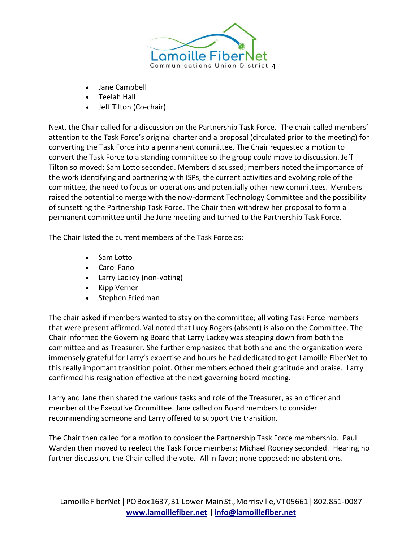

- Jane Campbell
- Teelah Hall
- Jeff Tilton (Co-chair)

Next, the Chair called for a discussion on the Partnership Task Force. The chair called members' attention to the Task Force's original charter and a proposal (circulated prior to the meeting) for converting the Task Force into a permanent committee. The Chair requested a motion to convert the Task Force to a standing committee so the group could move to discussion. Jeff Tilton so moved; Sam Lotto seconded. Members discussed; members noted the importance of the work identifying and partnering with ISPs, the current activities and evolving role of the committee, the need to focus on operations and potentially other new committees. Members raised the potential to merge with the now-dormant Technology Committee and the possibility of sunsetting the Partnership Task Force. The Chair then withdrew her proposal to form a permanent committee until the June meeting and turned to the Partnership Task Force.

The Chair listed the current members of the Task Force as:

- Sam Lotto
- Carol Fano
- Larry Lackey (non-voting)
- Kipp Verner
- Stephen Friedman

The chair asked if members wanted to stay on the committee; all voting Task Force members that were present affirmed. Val noted that Lucy Rogers (absent) is also on the Committee. The Chair informed the Governing Board that Larry Lackey was stepping down from both the committee and as Treasurer. She further emphasized that both she and the organization were immensely grateful for Larry's expertise and hours he had dedicated to get Lamoille FiberNet to this really important transition point. Other members echoed their gratitude and praise. Larry confirmed his resignation effective at the next governing board meeting.

Larry and Jane then shared the various tasks and role of the Treasurer, as an officer and member of the Executive Committee. Jane called on Board members to consider recommending someone and Larry offered to support the transition.

The Chair then called for a motion to consider the Partnership Task Force membership. Paul Warden then moved to reelect the Task Force members; Michael Rooney seconded. Hearing no further discussion, the Chair called the vote. All in favor; none opposed; no abstentions.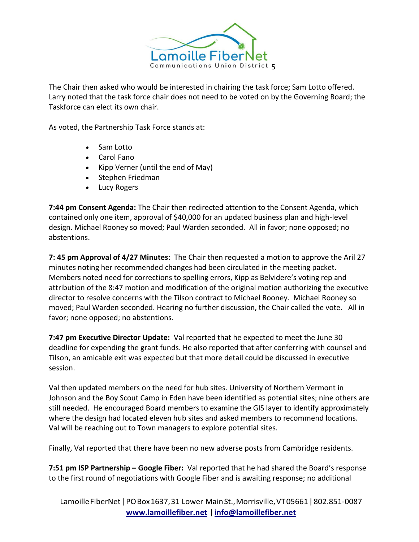

The Chair then asked who would be interested in chairing the task force; Sam Lotto offered. Larry noted that the task force chair does not need to be voted on by the Governing Board; the Taskforce can elect its own chair.

As voted, the Partnership Task Force stands at:

- Sam Lotto
- Carol Fano
- Kipp Verner (until the end of May)
- Stephen Friedman
- Lucy Rogers

**7:44 pm Consent Agenda:** The Chair then redirected attention to the Consent Agenda, which contained only one item, approval of \$40,000 for an updated business plan and high-level design. Michael Rooney so moved; Paul Warden seconded. All in favor; none opposed; no abstentions.

**7: 45 pm Approval of 4/27 Minutes:** The Chair then requested a motion to approve the Aril 27 minutes noting her recommended changes had been circulated in the meeting packet. Members noted need for corrections to spelling errors, Kipp as Belvidere's voting rep and attribution of the 8:47 motion and modification of the original motion authorizing the executive director to resolve concerns with the Tilson contract to Michael Rooney. Michael Rooney so moved; Paul Warden seconded. Hearing no further discussion, the Chair called the vote. All in favor; none opposed; no abstentions.

**7:47 pm Executive Director Update:** Val reported that he expected to meet the June 30 deadline for expending the grant funds. He also reported that after conferring with counsel and Tilson, an amicable exit was expected but that more detail could be discussed in executive session.

Val then updated members on the need for hub sites. University of Northern Vermont in Johnson and the Boy Scout Camp in Eden have been identified as potential sites; nine others are still needed. He encouraged Board members to examine the GIS layer to identify approximately where the design had located eleven hub sites and asked members to recommend locations. Val will be reaching out to Town managers to explore potential sites.

Finally, Val reported that there have been no new adverse posts from Cambridge residents.

**7:51 pm ISP Partnership – Google Fiber:** Val reported that he had shared the Board's response to the first round of negotiations with Google Fiber and is awaiting response; no additional

Lamoille FiberNet | PO Box 1637, 31 Lower Main St., Morrisville, VT05661 | 802.851-0087 **[www.lamoillefiber.net](http://www.lamoillefiber.net/) [|info@lamoillefiber.net](mailto:info@lamoillefiber.net)**